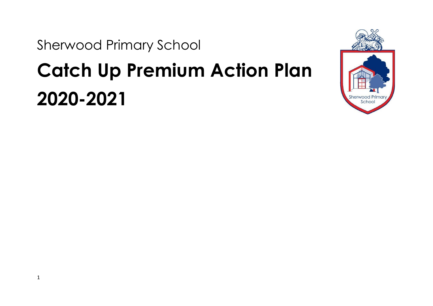Sherwood Primary School

# **Catch Up Premium Action Plan 2020-2021**

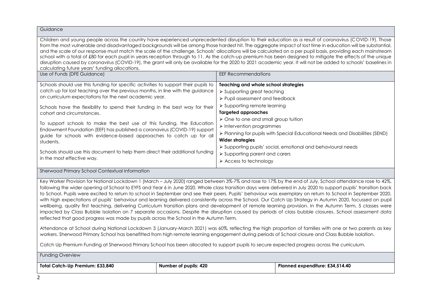| Guidance                                                                                                                                                                                                                                                                                                                                                                                                                                                                                                                                                                                                                                                                                                                                                                                                                                                                                                                                                                                                                                                                   |                                                                                                                                                                                                                                                                                                                                                                                                                                                                                                                                                             |  |  |  |  |
|----------------------------------------------------------------------------------------------------------------------------------------------------------------------------------------------------------------------------------------------------------------------------------------------------------------------------------------------------------------------------------------------------------------------------------------------------------------------------------------------------------------------------------------------------------------------------------------------------------------------------------------------------------------------------------------------------------------------------------------------------------------------------------------------------------------------------------------------------------------------------------------------------------------------------------------------------------------------------------------------------------------------------------------------------------------------------|-------------------------------------------------------------------------------------------------------------------------------------------------------------------------------------------------------------------------------------------------------------------------------------------------------------------------------------------------------------------------------------------------------------------------------------------------------------------------------------------------------------------------------------------------------------|--|--|--|--|
| Children and young people across the country have experienced unprecedented disruption to their education as a result of coronavirus (COVID-19). Those<br>from the most vulnerable and disadvantaged backgrounds will be among those hardest hit. The aggregate impact of lost time in education will be substantial,<br>and the scale of our response must match the scale of the challenge. Schools' allocations will be calculated on a per pupil basis, providing each mainstream<br>school with a total of £80 for each pupil in years reception through to 11. As the catch-up premium has been designed to mitigate the effects of the unique<br>disruption caused by coronavirus (COVID-19), the grant will only be available for the 2020 to 2021 academic year. It will not be added to schools' baselines in<br>calculating future years' funding allocations.                                                                                                                                                                                                  |                                                                                                                                                                                                                                                                                                                                                                                                                                                                                                                                                             |  |  |  |  |
| Use of Funds (DFE Guidance)                                                                                                                                                                                                                                                                                                                                                                                                                                                                                                                                                                                                                                                                                                                                                                                                                                                                                                                                                                                                                                                | <b>EEF Recommendations</b>                                                                                                                                                                                                                                                                                                                                                                                                                                                                                                                                  |  |  |  |  |
| Schools should use this funding for specific activities to support their pupils to<br>catch up for lost teaching over the previous months, in line with the guidance<br>on curriculum expectations for the next academic year.<br>Schools have the flexibility to spend their funding in the best way for their<br>cohort and circumstances.<br>To support schools to make the best use of this funding, the Education<br>Endowment Foundation (EEF) has published a coronavirus (COVID-19) support<br>guide for schools with evidence-based approaches to catch up for all<br>students.<br>Schools should use this document to help them direct their additional funding<br>in the most effective way.                                                                                                                                                                                                                                                                                                                                                                    | Teaching and whole school strategies<br>$\triangleright$ Supporting great teaching<br>> Pupil assessment and feedback<br>> Supporting remote learning<br><b>Targeted approaches</b><br>$\triangleright$ One to one and small group tuition<br>$\triangleright$ Intervention programmes<br>> Planning for pupils with Special Educational Needs and Disabilities (SEND)<br><b>Wider strategies</b><br>> Supporting pupils' social, emotional and behavioural needs<br>$\triangleright$ Supporting parent and carers<br>$\triangleright$ Access to technology |  |  |  |  |
| Sherwood Primary School Contextual Information                                                                                                                                                                                                                                                                                                                                                                                                                                                                                                                                                                                                                                                                                                                                                                                                                                                                                                                                                                                                                             |                                                                                                                                                                                                                                                                                                                                                                                                                                                                                                                                                             |  |  |  |  |
| Key Worker Provision for National Lockdown 1 (March - July 2020) ranged between 3%-7% and rose to 17% by the end of July. School attendance rose to 42%,<br>following the wider opening of School to EYFS and Year 6 in June 2020. Whole class transition days were delivered in July 2020 to support pupils' transition back<br>to School. Pupils were excited to return to school in September and see their peers. Pupils' behaviour was exemplary on return to School in September 2020,<br>with high expectations of pupils' behaviour and learning delivered consistently across the School. Our Catch Up Strategy in Autumn 2020, focussed on pupil<br>wellbeing, quality first teaching, delivering Curriculum transition plans and development of remote learning provision. In the Autumn Term, 5 classes were<br>impacted by Class Bubble Isolation on 7 separate occasions. Despite the disruption caused by periods of class bubble closures, School assessment data<br>reflected that good progress was made by pupils across the School in the Autumn Term. |                                                                                                                                                                                                                                                                                                                                                                                                                                                                                                                                                             |  |  |  |  |
| Attendance at School during National Lockdown 3 (January-March 2021) was 60%, reflecting the high proportion of families with one or two parents as key<br>workers. Sherwood Primary School has benefitted from high remote learning engagement during periods of School closure and Class Bubble Isolation.                                                                                                                                                                                                                                                                                                                                                                                                                                                                                                                                                                                                                                                                                                                                                               |                                                                                                                                                                                                                                                                                                                                                                                                                                                                                                                                                             |  |  |  |  |
| Catch Up Premium Funding at Sherwood Primary School has been allocated to support pupils to secure expected progress across the curriculum.                                                                                                                                                                                                                                                                                                                                                                                                                                                                                                                                                                                                                                                                                                                                                                                                                                                                                                                                |                                                                                                                                                                                                                                                                                                                                                                                                                                                                                                                                                             |  |  |  |  |
| <b>Funding Overview</b>                                                                                                                                                                                                                                                                                                                                                                                                                                                                                                                                                                                                                                                                                                                                                                                                                                                                                                                                                                                                                                                    |                                                                                                                                                                                                                                                                                                                                                                                                                                                                                                                                                             |  |  |  |  |
|                                                                                                                                                                                                                                                                                                                                                                                                                                                                                                                                                                                                                                                                                                                                                                                                                                                                                                                                                                                                                                                                            |                                                                                                                                                                                                                                                                                                                                                                                                                                                                                                                                                             |  |  |  |  |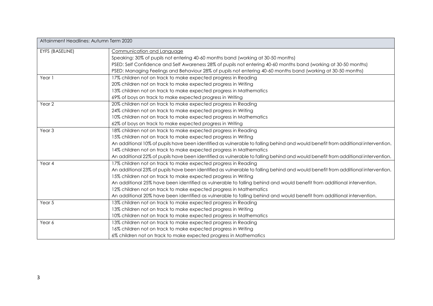| Attainment Headlines: Autumn Term 2020 |                                                                                                                                  |
|----------------------------------------|----------------------------------------------------------------------------------------------------------------------------------|
| EYFS (BASELINE)                        | Communication and Language                                                                                                       |
|                                        | Speaking: 30% of pupils not entering 40-60 months band (working at 30-50 months)                                                 |
|                                        | PSED: Self Confidence and Self Awareness 28% of pupils not entering 40-60 months band (working at 30-50 months)                  |
|                                        | PSED: Managing Feelings and Behaviour 28% of pupils not entering 40-60 months band (working at 30-50 months)                     |
| Year 1                                 | 17% children not on track to make expected progress in Reading                                                                   |
|                                        | 20% children not on track to make expected progress in Writing                                                                   |
|                                        | 13% children not on track to make expected progress in Mathematics                                                               |
|                                        | 69% of boys on track to make expected progress in Writing                                                                        |
| Year <sub>2</sub>                      | 20% children not on track to make expected progress in Reading                                                                   |
|                                        | 24% children not on track to make expected progress in Writing                                                                   |
|                                        | 10% children not on track to make expected progress in Mathematics                                                               |
|                                        | 62% of boys on track to make expected progress in Writing                                                                        |
| Year <sub>3</sub>                      | 18% children not on track to make expected progress in Reading                                                                   |
|                                        | 15% children not on track to make expected progress in Writing                                                                   |
|                                        | An additional 10% of pupils have been identified as vulnerable to falling behind and would benefit from additional intervention. |
|                                        | 14% children not on track to make expected progress in Mathematics                                                               |
|                                        | An additional 22% of pupils have been identified as vulnerable to falling behind and would benefit from additional intervention. |
| Year 4                                 | 17% children not on track to make expected progress in Reading                                                                   |
|                                        | An additional 23% of pupils have been identified as vulnerable to falling behind and would benefit from additional intervention. |
|                                        | 15% children not on track to make expected progress in Writing                                                                   |
|                                        | An additional 25% have been identified as vulnerable to falling behind and would benefit from additional intervention.           |
|                                        | 12% children not on track to make expected progress in Mathematics                                                               |
|                                        | An additional 20% have been identified as vulnerable to falling behind and would benefit from additional intervention.           |
| Year 5                                 | 13% children not on track to make expected progress in Reading                                                                   |
|                                        | 13% children not on track to make expected progress in Writing                                                                   |
|                                        | 10% children not on track to make expected progress in Mathematics                                                               |
| Year 6                                 | 13% children not on track to make expected progress in Reading                                                                   |
|                                        | 16% children not on track to make expected progress in Writing                                                                   |
|                                        | 6% children not on track to make expected progress in Mathematics                                                                |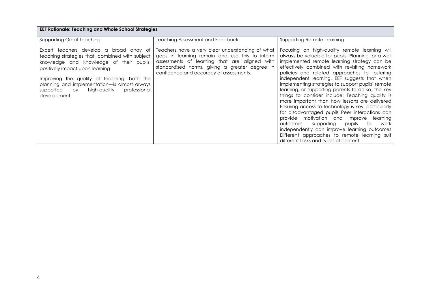| <b>EEF Rationale: Teaching and Whole School Strategies</b>                                                                                                                                                                                                                                                                               |                                                                                                                                                                                                                                                  |                                                                                                                                                                                                                                                                                                                                                                                                                                                                                                                                                                                                                                                                                                                                                                                                                                                                  |  |  |  |  |  |  |
|------------------------------------------------------------------------------------------------------------------------------------------------------------------------------------------------------------------------------------------------------------------------------------------------------------------------------------------|--------------------------------------------------------------------------------------------------------------------------------------------------------------------------------------------------------------------------------------------------|------------------------------------------------------------------------------------------------------------------------------------------------------------------------------------------------------------------------------------------------------------------------------------------------------------------------------------------------------------------------------------------------------------------------------------------------------------------------------------------------------------------------------------------------------------------------------------------------------------------------------------------------------------------------------------------------------------------------------------------------------------------------------------------------------------------------------------------------------------------|--|--|--|--|--|--|
| <b>Supporting Great Teaching</b>                                                                                                                                                                                                                                                                                                         | Teaching Assessment and Feedback                                                                                                                                                                                                                 | <b>Supporting Remote Learning</b>                                                                                                                                                                                                                                                                                                                                                                                                                                                                                                                                                                                                                                                                                                                                                                                                                                |  |  |  |  |  |  |
| Expert teachers develop a broad array of<br>teaching strategies that, combined with subject<br>knowledge and knowledge of their pupils,<br>positively impact upon learning<br>Improving the quality of teaching—both the<br>planning and implementation-is almost always<br>professional<br>supported by<br>high-quality<br>development. | Teachers have a very clear understanding of what<br>gaps in learning remain and use this to inform<br>assessments of learning that are aligned with<br>standardised norms, giving a greater degree in<br>confidence and accuracy of assessments. | Focusing on high-quality remote learning will<br>always be valuable for pupils. Planning for a well<br>implemented remote learning strategy can be<br>effectively combined with revisiting homework<br>policies and related approaches to fostering<br>independent learning. EEF suggests that when<br>implementing strategies to support pupils' remote<br>learning, or supporting parents to do so, the key<br>things to consider include: Teaching quality is<br>more important than how lessons are delivered<br>Ensuring access to technology is key, particularly<br>for disadvantaged pupils Peer interactions can<br>provide motivation and improve<br>learning<br>Supporting<br>outcomes<br>pupils<br>to<br>work<br>independently can improve learning outcomes<br>Different approaches to remote learning suit<br>different tasks and types of content |  |  |  |  |  |  |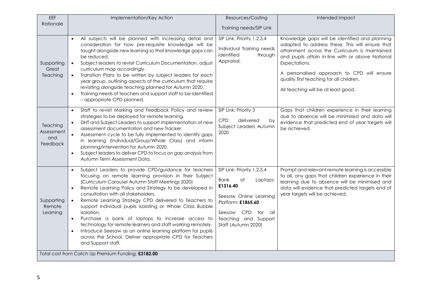| EEF                                                | Implementation/Key Action                                                                                                                                                                                                                                                                                                                                                                                                                                                                                                                                                                                                                                                                                       | Resources/Costing                                                                                                                                                                                            | Intended Impact                                                                                                                                                                                                                                                                                                                                           |  |  |  |
|----------------------------------------------------|-----------------------------------------------------------------------------------------------------------------------------------------------------------------------------------------------------------------------------------------------------------------------------------------------------------------------------------------------------------------------------------------------------------------------------------------------------------------------------------------------------------------------------------------------------------------------------------------------------------------------------------------------------------------------------------------------------------------|--------------------------------------------------------------------------------------------------------------------------------------------------------------------------------------------------------------|-----------------------------------------------------------------------------------------------------------------------------------------------------------------------------------------------------------------------------------------------------------------------------------------------------------------------------------------------------------|--|--|--|
| Rationale                                          |                                                                                                                                                                                                                                                                                                                                                                                                                                                                                                                                                                                                                                                                                                                 | Training needs/SIP Link                                                                                                                                                                                      |                                                                                                                                                                                                                                                                                                                                                           |  |  |  |
| Supporting<br>Great<br>Teaching                    | All subjects will be planned with increasing detail and<br>$\bullet$<br>consideration for how pre-requisite knowledge will be<br>taught alongside new learning so that knowledge gaps can<br>be reduced.<br>Subject leaders to revisit Curriculum Documentation, adjust<br>$\bullet$<br>curriculum map accordingly.<br>Transition Plans to be written by subject leaders for each<br>year group, outlining aspects of the curriculum that require<br>revisiting alongside teaching planned for Autumn 2020.<br>Training needs of teachers and support staff to be identified<br>$\bullet$<br>- appropriate CPD planned.                                                                                         | SIP Link: Priority 1,2,3,4<br>Individual Training needs<br>identified<br>through<br>Appraisal.                                                                                                               | Knowledge gaps will be identified and planning<br>adapted to address these. This will ensure that<br>attainment across the Curriculum is maintained<br>and pupils attain in-line with or above National<br>Expectations.<br>A personalised approach to CPD will ensure<br>quality first teaching for all children.<br>All teaching will be at least good. |  |  |  |
| Teaching<br>Assessment<br>and<br>Feedback          | Staff to revisit Marking and Feedback Policy and review<br>$\bullet$<br>strategies to be deployed for remote learning.<br>DHT and Subject Leaders to support implementation of new<br>assessment documentation and new Tracker.<br>Assessment cycle to be fully implemented to identify gaps<br>$\bullet$<br>in learning (Individual/Group/Whole Class) and inform<br>planning/intervention for Autumn 2020.<br>Subject leaders to deliver CPD to focus on gap analysis from<br>$\bullet$<br>Autumn Term Assessment Data.                                                                                                                                                                                       | SIP Link: Priority 3<br><b>CPD</b><br>delivered<br>by<br>Subject Leaders Autumn<br>2020                                                                                                                      | Gaps that children experience in their learning<br>due to absence will be minimised and data will<br>evidence that predicted end of year targets will<br>be achieved.                                                                                                                                                                                     |  |  |  |
| Supporting<br>Remote<br>Learning                   | Subject Leaders to provide CPD/guidance for teachers<br>focusing on remote learning provision in their Subject<br>(Curriculum Carousel Autumn Staff Meetings 2020)<br>Remote Learning Policy and Strategy to be developed in<br>$\bullet$<br>consultation with all stakeholders.<br>Remote Learning Strategy CPD delivered to Teachers to<br>support individual pupils isolating or Whole Class Bubble<br>isolation.<br>Purchase a bank of laptops to increase access to<br>$\bullet$<br>technology for remote learners and staff working remotely.<br>Introduce Seesaw as an online learning platform for pupils<br>$\bullet$<br>across the School. Deliver appropriate CPD for Teachers<br>and Support staff. | SIP Link: Priority 1,2,3,4<br><b>Bank</b><br>Оf<br>Laptops:<br>£1316.40<br>Seesaw Online Learning<br>Platform: £1865.60<br><b>CPD</b><br>Seesaw<br>for<br>all<br>Teaching and Support<br>Staff (Autumn 2020) | Prompt and relevant remote learning is accessible<br>to all, any gaps that children experience in their<br>learning due to absence will be minimised and<br>data will evidence that predicted targets end of<br>year targets will be achieved.                                                                                                            |  |  |  |
| Total cost from Catch Up Premium Funding: £3182.00 |                                                                                                                                                                                                                                                                                                                                                                                                                                                                                                                                                                                                                                                                                                                 |                                                                                                                                                                                                              |                                                                                                                                                                                                                                                                                                                                                           |  |  |  |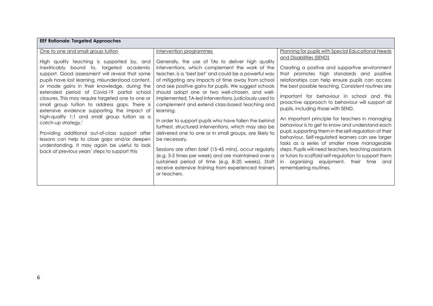| EEF Kationale: largeted Approaches                                                                                                                                                                                                                                                                                                                                                                                                                                                                                                                                                                                                                                                                                            |                                                                                                                                                                                                                                                                                                                                                                                                                                                                                                                                                                                                                                                                                                                                                                                                                                                                                                   |                                                                                                                                                                                                                                                                                                                                                                                                                                                                                                                                                                                                                                                                                                                                                                                                                                     |
|-------------------------------------------------------------------------------------------------------------------------------------------------------------------------------------------------------------------------------------------------------------------------------------------------------------------------------------------------------------------------------------------------------------------------------------------------------------------------------------------------------------------------------------------------------------------------------------------------------------------------------------------------------------------------------------------------------------------------------|---------------------------------------------------------------------------------------------------------------------------------------------------------------------------------------------------------------------------------------------------------------------------------------------------------------------------------------------------------------------------------------------------------------------------------------------------------------------------------------------------------------------------------------------------------------------------------------------------------------------------------------------------------------------------------------------------------------------------------------------------------------------------------------------------------------------------------------------------------------------------------------------------|-------------------------------------------------------------------------------------------------------------------------------------------------------------------------------------------------------------------------------------------------------------------------------------------------------------------------------------------------------------------------------------------------------------------------------------------------------------------------------------------------------------------------------------------------------------------------------------------------------------------------------------------------------------------------------------------------------------------------------------------------------------------------------------------------------------------------------------|
| One to one and small group tuition                                                                                                                                                                                                                                                                                                                                                                                                                                                                                                                                                                                                                                                                                            | Intervention programmes                                                                                                                                                                                                                                                                                                                                                                                                                                                                                                                                                                                                                                                                                                                                                                                                                                                                           | Planning for pupils with Special Educational Needs                                                                                                                                                                                                                                                                                                                                                                                                                                                                                                                                                                                                                                                                                                                                                                                  |
| High quality teaching is supported by, and<br>inextricably bound to, targeted academic<br>support. Good assessment will reveal that some<br>pupils have lost learning, misunderstood content,<br>or made gains in their knowledge, during the<br>extended period of Covid-19 partial school<br>closures. This may require targeted one to one or<br>small group tuition to address gaps. There is<br>extensive evidence supporting the impact of<br>high-quality 1:1 and small group tuition as a<br>catch-up strategy.'<br>Providing additional out-of-class support after<br>lessons can help to close gaps and/or deepen<br>understanding. It may again be useful to look<br>back at previous years' steps to support this | Generally, the use of TAs to deliver high quality<br>interventions, which complement the work of the<br>teacher, is a 'best bet' and could be a powerful way<br>of mitigating any impacts of time away from school<br>and see positive gains for pupils. We suggest schools<br>should adopt one or two well-chosen, and well-<br>implemented, TA-led interventions, judiciously used to<br>complement and extend class-based teaching and<br>learning.<br>In order to support pupils who have fallen the behind<br>furthest, structured interventions, which may also be<br>delivered one to one or in small groups, are likely to<br>be necessary.<br>Sessions are often brief (15-45 mins), occur regularly<br>(e.g. 3-5 times per week) and are maintained over a<br>sustained period of time (e.g. 8-20 weeks). Staff<br>receive extensive training from experienced trainers<br>or teachers. | and Disabilities (SEND)<br>Creating a positive and supportive environment<br>that promotes high standards and positive<br>relationships can help ensure pupils can access<br>the best possible teaching. Consistent routines are<br>important for behaviour in school and this<br>proactive approach to behaviour will support all<br>pupils, including those with SEND.<br>An important principle for teachers in managing<br>behaviour is to get to know and understand each<br>pupil, supporting them in the self-regulation of their<br>behaviour. Self-regulated learners can see larger<br>tasks as a series of smaller more manageable<br>steps. Pupils will need teachers, teaching assistants<br>or tutors to scaffold self-regulation to support them<br>in organising equipment, their time and<br>remembering routines. |

## **EEF Rationale: Targeted Approaches**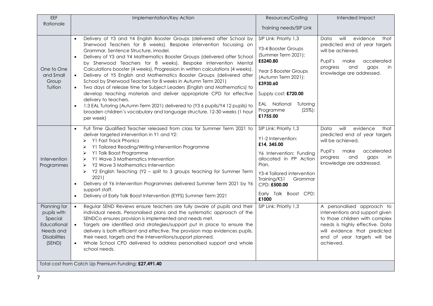| EEF                                                                                                 | Implementation/Key Action                                                                                                                                                                                                                                                                                                                                                                                                                                                                                                                                                                                                                                                                                                                                                                                                                                                                                                                                       | Resources/Costing                                                                                                                                                                                                                      | Intended Impact                                                                                                                                                                                                |
|-----------------------------------------------------------------------------------------------------|-----------------------------------------------------------------------------------------------------------------------------------------------------------------------------------------------------------------------------------------------------------------------------------------------------------------------------------------------------------------------------------------------------------------------------------------------------------------------------------------------------------------------------------------------------------------------------------------------------------------------------------------------------------------------------------------------------------------------------------------------------------------------------------------------------------------------------------------------------------------------------------------------------------------------------------------------------------------|----------------------------------------------------------------------------------------------------------------------------------------------------------------------------------------------------------------------------------------|----------------------------------------------------------------------------------------------------------------------------------------------------------------------------------------------------------------|
| Rationale                                                                                           |                                                                                                                                                                                                                                                                                                                                                                                                                                                                                                                                                                                                                                                                                                                                                                                                                                                                                                                                                                 | Training needs/SIP Link                                                                                                                                                                                                                |                                                                                                                                                                                                                |
| One to One<br>and Small<br>Group<br>Tuition                                                         | Delivery of Y3 and Y4 English Booster Groups (delivered after School by<br>Sherwood Teachers for 8 weeks). Bespoke intervention focussing on<br>Grammar, Sentence Structure, imodel.<br>Delivery of Y3 and Y4 Mathematics Booster Groups (delivered after School<br>by Sherwood Teachers for 8 weeks). Bespoke intervention Mental<br>Calculations booster (4 weeks), Progression in written calculations (4 weeks).<br>Delivery of Y5 English and Mathematics Booster Groups (delivered after<br>$\bullet$<br>School by Sherwood Teachers for 8 weeks in Autumn Term 2021)<br>Two days of release time for Subject Leaders (English and Mathematics) to<br>$\bullet$<br>develop teaching materials and deliver appropriate CPD for effective<br>delivery to teachers.<br>1:3 EAL Tutoring (Autumn Term 2021) delivered to (Y3 6 pupils/Y4 12 pupils) to<br>$\bullet$<br>broaden children's vocabulary and language structure. 12-30 weeks (1 hour<br>per week) | SIP Link: Priority 1,3<br>Y3-4 Booster Groups<br>(Summer Term 2021):<br>£5240.80<br>Year 5 Booster Groups<br>(Autumn Term 2021):<br>£3930.60<br>Supply cost: £720.00<br>EAL National<br>Tutoring<br>Programme<br>$(25%)$ :<br>£1755.00 | will<br>evidence<br>Data<br>that<br>predicted end of year targets<br>will be achieved.<br>Pupil's<br>make<br>accelerated<br>progress<br>and<br>gaps<br>in<br>knowledge are addressed.                          |
| Intervention<br>Programmes                                                                          | Full Time Qualified Teacher released from class for Summer Term 2021 to<br>$\bullet$<br>deliver targeted intervention in Y1 and Y2:<br>Y1 Fast Track Phonics<br>➤<br>Y1 Tailored Reading/Writing Intervention Programme<br>➤<br>Y1 Talk Boost Programme<br>➤<br>Y1 Wave 3 Mathematics Intervention<br>≻<br>Y2 Wave 3 Mathematics Intervention<br>≻<br>Y2 English Teaching (Y2 - split to 3 groups teaching for Summer Term<br>➤<br>2021)<br>Delivery of Y6 Intervention Programmes delivered Summer Term 2021 by Y6<br>support staff.<br>Delivery of Early Talk Boost Intervention (EYFS) Summer Term 2021                                                                                                                                                                                                                                                                                                                                                      | SIP Link: Priority 1,3<br>Y1-2 Intervention:<br>£14, 345.00<br>Y6 Intervention: Funding<br>allocated in PP Action<br>Plan.<br>Y3-4 Tailored intervention<br>Training/KS1<br>Grammar<br>CPD: £500.00<br>Early Talk Boost CPD:<br>£1000  | evidence<br>will<br>Data<br>that<br>predicted end of year targets<br>will be achieved.<br>Pupil's<br>accelerated<br>make<br>progress<br>and<br>gaps<br>in.<br>knowledge are addressed.                         |
| Planning for<br>pupils with<br>Special<br>Educational<br>Needs and<br><b>Disabilities</b><br>(SEND) | Regular SEND Reviews ensure teachers are fully aware of pupils and their<br>$\bullet$<br>individual needs. Personalised plans and the systematic approach of the<br>SENDCo ensures provision is implemented and needs met.<br>Targets are identified and strategies/support put in place to ensure the<br>$\bullet$<br>delivery is both efficient and effective. The provision map evidences pupils,<br>their need, targets and the interventions/support planned.<br>Whole School CPD delivered to address personalised support and whole<br>$\bullet$<br>school needs.                                                                                                                                                                                                                                                                                                                                                                                        | SIP Link: Priority 1,3                                                                                                                                                                                                                 | A personalised approach to<br>interventions and support given<br>to those children with complex<br>needs is highly effective. Data<br>will evidence that predicted<br>end of year targets will be<br>achieved. |
|                                                                                                     | Total cost from Catch Up Premium Funding: £27,491.40                                                                                                                                                                                                                                                                                                                                                                                                                                                                                                                                                                                                                                                                                                                                                                                                                                                                                                            |                                                                                                                                                                                                                                        |                                                                                                                                                                                                                |
|                                                                                                     |                                                                                                                                                                                                                                                                                                                                                                                                                                                                                                                                                                                                                                                                                                                                                                                                                                                                                                                                                                 |                                                                                                                                                                                                                                        |                                                                                                                                                                                                                |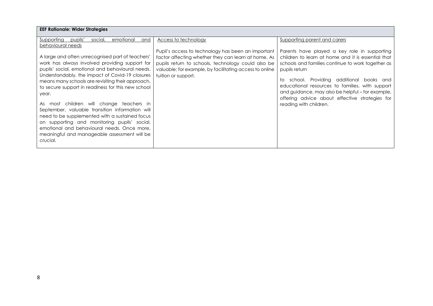| <b>EEF Rationale: Wider Strategies</b>                                                                                                                                                                                                                                                                                                                                                                     |                                                                                                                                                                                                                                                                           |                                                                                                                                                                                                                                                                                                                                                                                                                   |
|------------------------------------------------------------------------------------------------------------------------------------------------------------------------------------------------------------------------------------------------------------------------------------------------------------------------------------------------------------------------------------------------------------|---------------------------------------------------------------------------------------------------------------------------------------------------------------------------------------------------------------------------------------------------------------------------|-------------------------------------------------------------------------------------------------------------------------------------------------------------------------------------------------------------------------------------------------------------------------------------------------------------------------------------------------------------------------------------------------------------------|
| Supporting<br>pupils'<br>social,<br>emotional<br>and<br>behavioural needs<br>A large and often unrecognised part of teachers'<br>work has always involved providing support for<br>pupils' social, emotional and behavioural needs.<br>Understandably, the impact of Covid-19 closures<br>means many schools are revisiting their approach,<br>to secure support in readiness for this new school<br>year. | Access to technology<br>Pupil's access to technology has been an important<br>factor affecting whether they can learn at home. As<br>pupils return to schools, technology could also be<br>valuable; for example, by facilitating access to online<br>tuition or support. | Supporting parent and carers<br>Parents have played a key role in supporting<br>children to learn at home and it is essential that<br>schools and families continue to work together as<br>pupils return<br>school. Providing additional books and<br>to<br>educational resources to families, with support<br>and guidance, may also be helpful – for example,<br>offering advice about effective strategies for |
| As most children will change teachers in<br>September, valuable transition information will<br>need to be supplemented with a sustained focus<br>on supporting and monitoring pupils' social,<br>emotional and behavioural needs. Once more,<br>meaningful and manageable assessment will be<br>crucial.                                                                                                   |                                                                                                                                                                                                                                                                           | reading with children.                                                                                                                                                                                                                                                                                                                                                                                            |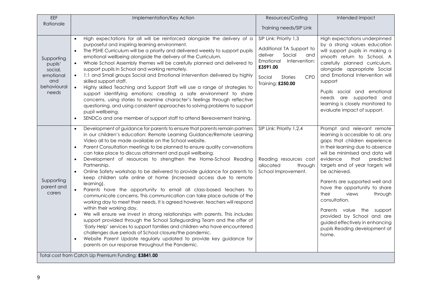| EEF                                                                          | Implementation/Key Action                                                                                                                                                                                                                                                                                                                                                                                                                                                                                                                                                                                                                                                                                                                                                                                                                                                                                                                                                                                                                                                                                                                                                                                                                                                                                                                                                         | Resources/Costing                                                                                                                                                             | Intended Impact                                                                                                                                                                                                                                                                                                                                                                                                                                                                                                        |
|------------------------------------------------------------------------------|-----------------------------------------------------------------------------------------------------------------------------------------------------------------------------------------------------------------------------------------------------------------------------------------------------------------------------------------------------------------------------------------------------------------------------------------------------------------------------------------------------------------------------------------------------------------------------------------------------------------------------------------------------------------------------------------------------------------------------------------------------------------------------------------------------------------------------------------------------------------------------------------------------------------------------------------------------------------------------------------------------------------------------------------------------------------------------------------------------------------------------------------------------------------------------------------------------------------------------------------------------------------------------------------------------------------------------------------------------------------------------------|-------------------------------------------------------------------------------------------------------------------------------------------------------------------------------|------------------------------------------------------------------------------------------------------------------------------------------------------------------------------------------------------------------------------------------------------------------------------------------------------------------------------------------------------------------------------------------------------------------------------------------------------------------------------------------------------------------------|
| Rationale                                                                    |                                                                                                                                                                                                                                                                                                                                                                                                                                                                                                                                                                                                                                                                                                                                                                                                                                                                                                                                                                                                                                                                                                                                                                                                                                                                                                                                                                                   | Training needs/SIP Link                                                                                                                                                       |                                                                                                                                                                                                                                                                                                                                                                                                                                                                                                                        |
| Supporting<br>pupils'<br>social,<br>emotional<br>and<br>behavioural<br>needs | High expectations for all will be reinforced alongside the delivery of a<br>$\bullet$<br>purposeful and inspiring learning environment.<br>The PSHE Curriculum will be a priority and delivered weekly to support pupils<br>$\bullet$<br>emotional wellbeing alongside the delivery of the Curriculum.<br>Whole School Assembly themes will be carefully planned and delivered to<br>$\bullet$<br>support pupils in School and working remotely.<br>1:1 and Small groups Social and Emotional Intervention delivered by highly<br>$\bullet$<br>skilled support staff.<br>Highly skilled Teaching and Support Staff will use a range of strategies to<br>$\bullet$<br>support identifying emotions; creating a safe environment to share<br>concerns, using stories to examine character's feelings through reflective<br>questioning, and using consistent approaches to solving problems to support<br>pupil wellbeing.<br>SENDCo and one member of support staff to attend Bereavement training.                                                                                                                                                                                                                                                                                                                                                                                | SIP Link: Priority 1,3<br>Additional TA Support to<br>deliver<br>Social<br>and<br>Emotional Intervention:<br>£3591.00<br>Social<br>CPD<br><b>Stories</b><br>Training: £250.00 | High expectations underpinned<br>by a strong values education<br>will support pupils in making a<br>smooth return to School. A<br>carefully planned curriculum,<br>alongside appropriate Social<br>and Emotional Intervention will<br>support<br>Pupils social and emotional<br>needs are supported and<br>learning is closely monitored to<br>evaluate impact of support.                                                                                                                                             |
| Supporting<br>parent and<br>carers                                           | Development of guidance for parents to ensure that parents remain partners<br>$\bullet$<br>in our children's education: Remote Learning Guidance/Remote Learning<br>Video all to be made available on the School website.<br>Parent Consultation meetings to be planned to ensure quality conversations<br>$\bullet$<br>can take place to discuss attainment and pupil wellbeing.<br>Development of resources to strengthen the Home-School Reading<br>$\bullet$<br>Partnership.<br>Online Safety workshop to be delivered to provide guidance for parents to<br>$\bullet$<br>keep children safe online at home (increased access due to remote<br>learning).<br>Parents have the opportunity to email all class-based teachers to<br>$\bullet$<br>communicate concerns. This communication can take place outside of the<br>working day to meet their needs. It is agreed however, teachers will respond<br>within their working day.<br>We will ensure we invest in strong relationships with parents. This includes<br>support provided through the School Safeguarding Team and the offer of<br>'Early Help' services to support families and children who have encountered<br>challenges due periods of School closure/the pandemic.<br>Website Parent Update regularly updated to provide key guidance for<br>$\bullet$<br>parents on our response throughout the Pandemic. | SIP Link: Priority 1,2,4<br>Reading resources cost<br>allocated<br>through<br>School Improvement.                                                                             | Prompt and relevant remote<br>learning is accessible to all, any<br>gaps that children experience<br>in their learning due to absence<br>will be minimised and data will<br>predicted<br>evidence<br>that<br>targets end of year targets will<br>be achieved.<br>Parents are supported well and<br>have the opportunity to share<br>their<br>views<br>through<br>consultation.<br>Parents value the support<br>provided by School and are<br>guided effectively in enhancing<br>pupils Reading development at<br>home. |
|                                                                              | Total cost from Catch Up Premium Funding: £3841.00                                                                                                                                                                                                                                                                                                                                                                                                                                                                                                                                                                                                                                                                                                                                                                                                                                                                                                                                                                                                                                                                                                                                                                                                                                                                                                                                |                                                                                                                                                                               |                                                                                                                                                                                                                                                                                                                                                                                                                                                                                                                        |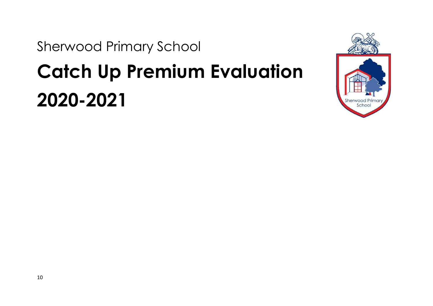Sherwood Primary School

## **Catch Up Premium Evaluation 2020-2021**

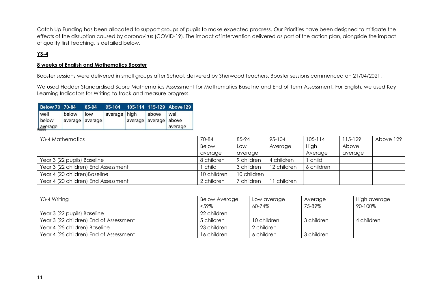Catch Up Funding has been allocated to support groups of pupils to make expected progress. Our Priorities have been designed to mitigate the effects of the disruption caused by coronavirus (COVID-19). The impact of intervention delivered as part of the action plan, alongside the impact of quality first teaching, is detailed below.

### **Y3-4**

#### **8 weeks of English and Mathematics Booster**

Booster sessions were delivered in small groups after School, delivered by Sherwood teachers. Booster sessions commenced on 21/04/2021.

We used Hodder Standardised Score Mathematics Assessment for Mathematics Baseline and End of Term Assessment. For English, we used Key Learning Indicators for Writing to track and measure progress.

| <b>Below 70 70-84</b>    |       | 85-94                  | 95-104       |                       |       | 105-114 115-129 Above 129 |
|--------------------------|-------|------------------------|--------------|-----------------------|-------|---------------------------|
| well<br>below<br>average | below | low<br>average average | average high | average average above | above | well<br>average           |

| Y3-4 Mathematics                    | 70-84        | 85-94       | 95-104      | $105 - 114$ | 115-129 | Above 129 |
|-------------------------------------|--------------|-------------|-------------|-------------|---------|-----------|
|                                     | <b>Below</b> | Low         | Average     | <b>High</b> | Above   |           |
|                                     | average      | average     |             | Average     | average |           |
| Year 3 (22 pupils) Baseline         | 8 children   | 9 children  | 4 children  | child       |         |           |
| Year 3 (22 children) End Assessment | child        | 3 children  | 12 children | 6 children  |         |           |
| Year 4 (20 children) Baseline       | 10 children  | 10 children |             |             |         |           |
| Year 4 (20 children) End Assessment | 2 children   | children    | children    |             |         |           |

| Y3-4 Writing                           | <b>Below Average</b> | Low average | Average    | High average |
|----------------------------------------|----------------------|-------------|------------|--------------|
|                                        | $<$ 59%              | 60-74%      | 75-89%     | 90-100%      |
| Year 3 (22 pupils) Baseline            | 22 children          |             |            |              |
| Year 3 (22 children) End of Assessment | 5 children           | 10 children | 3 children | 4 children   |
| Year 4 (25 children) Baseline          | 23 children          | 2 children  |            |              |
| Year 4 (25 children) End of Assessment | 16 children          | 6 children  | 3 children |              |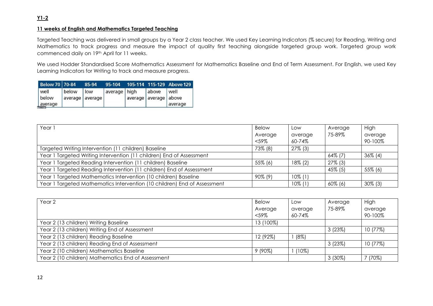### **11 weeks of English and Mathematics Targeted Teaching**

Targeted Teaching was delivered in small groups by a Year 2 class teacher. We used Key Learning Indicators (% secure) for Reading, Writing and Mathematics to track progress and measure the impact of quality first teaching alongside targeted group work. Targeted group work commenced daily on 19th April for 11 weeks.

We used Hodder Standardised Score Mathematics Assessment for Mathematics Baseline and End of Term Assessment. For English, we used Key Learning Indicators for Writing to track and measure progress.

| <b>Below 70 70-84</b> |       | 85-94           | 95-104         |                       |       | 105-114 115-129 Above 129 |
|-----------------------|-------|-----------------|----------------|-----------------------|-------|---------------------------|
| well                  | below | low             | average   high |                       | above | well                      |
| below                 |       | average average |                | average average above |       |                           |
| average               |       |                 |                |                       |       | average                   |

| Year 1                                                                   | <b>Below</b> | LOW        | Average    | High       |
|--------------------------------------------------------------------------|--------------|------------|------------|------------|
|                                                                          | Average      | average    | 75-89%     | average    |
|                                                                          | $<$ 59%      | 60-74%     |            | 90-100%    |
| Targeted Writing Intervention (11 children) Baseline                     | 73% (8)      | $27\%$ (3) |            |            |
| Year 1 Targeted Writing Intervention (11 children) End of Assessment     |              |            | 64% (7)    | $36\%$ (4) |
| Year 1 Targeted Reading Intervention (11 children) Baseline              | 55% (6)      | $18\%$ (2) | $27\%$ (3) |            |
| Year 1 Targeted Reading Intervention (11 children) End of Assessment     |              |            | 45% (5)    | 55% (6)    |
| Year 1 Targeted Mathematics Intervention (10 children) Baseline          | 90% (9)      | $10\%$ (1) |            |            |
| Year 1 Targeted Mathematics Intervention (10 children) End of Assessment |              | $10\%$ (1) | $60\%$ (6) | $30\%$ (3) |

| Year <sub>2</sub>                                  | <b>Below</b> | Low      | Average   | High     |
|----------------------------------------------------|--------------|----------|-----------|----------|
|                                                    | Average      | average  | 75-89%    | average  |
|                                                    | $<$ 59%      | 60-74%   |           | 90-100%  |
| Year 2 (13 children) Writing Baseline              | 13 (100%)    |          |           |          |
| Year 2 (13 children) Writing End of Assessment     |              |          | 3(23%)    | 10 (77%) |
| Year 2 (13 children) Reading Baseline              | 12 (92%)     | (8%)     |           |          |
| Year 2 (13 children) Reading End of Assessment     |              |          | 3(23%)    | 10 (77%) |
| Year 2 (10 children) Mathematics Baseline          | $9(90\%)$    | $(10\%)$ |           |          |
| Year 2 (10 children) Mathematics End of Assessment |              |          | $3(30\%)$ | 70%)     |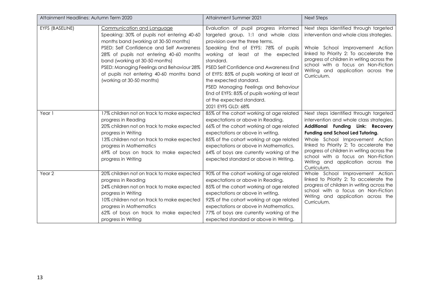| Attainment Headlines: Autumn Term 2020 |                                                                                                                                                                                                                                                                                 | Attainment Summer 2021                                                                                                                                                                                                                                                                                                                    | <b>Next Steps</b>                                                                                                                                                                                                                                              |
|----------------------------------------|---------------------------------------------------------------------------------------------------------------------------------------------------------------------------------------------------------------------------------------------------------------------------------|-------------------------------------------------------------------------------------------------------------------------------------------------------------------------------------------------------------------------------------------------------------------------------------------------------------------------------------------|----------------------------------------------------------------------------------------------------------------------------------------------------------------------------------------------------------------------------------------------------------------|
| EYFS (BASELINE)                        | Communication and Language<br>Speaking: 30% of pupils not entering 40-60<br>months band (working at 30-50 months)<br>PSED: Self Confidence and Self Awareness                                                                                                                   | Evaluation of pupil progress informed<br>targeted group, 1:1 and whole class<br>provision over the three terms.<br>Speaking End of EYFS: 78% of pupils                                                                                                                                                                                    | Next steps identified through targeted<br>intervention and whole class strategies.<br>Whole School Improvement Action                                                                                                                                          |
|                                        | 28% of pupils not entering 40-60 months<br>band (working at 30-50 months)<br>PSED: Managing Feelings and Behaviour 28%<br>of pupils not entering 40-60 months band<br>(working at 30-50 months)                                                                                 | working at least at the expected<br>standard.<br>PSED Self Confidence and Awareness End<br>of EYFS: 85% of pupils working at least at<br>the expected standard.<br>PSED Managing Feelings and Behaviour<br>End of EYFS: 85% of pupils working at least<br>at the expected standard.<br>2021 EYFS GLD: 68%                                 | linked to Priority 2: To accelerate the<br>progress of children in writing across the<br>school with a focus on Non-Fiction<br>Writing and application across the<br>Curriculum.                                                                               |
| Year 1                                 | 17% children not on track to make expected<br>progress in Reading<br>20% children not on track to make expected                                                                                                                                                                 | 85% of the cohort working at age related<br>expectations or above in Reading.<br>66% of the cohort working at age related                                                                                                                                                                                                                 | Next steps identified through targeted<br>intervention and whole class strategies.<br>Additional Funding Link: Recovery                                                                                                                                        |
|                                        | progress in Writing<br>13% children not on track to make expected<br>progress in Mathematics<br>69% of boys on track to make expected<br>progress in Writing                                                                                                                    | expectations or above in writing.<br>85% of the cohort working at age related<br>expectations or above in Mathematics.<br>64% of boys are currently working at the<br>expected standard or above in Writing.                                                                                                                              | <b>Funding and School Led Tutoring.</b><br>Whole School Improvement Action<br>linked to Priority 2: To accelerate the<br>progress of children in writing across the<br>school with a focus on Non-Fiction<br>Writing and application across the<br>Curriculum. |
| Year 2                                 | 20% children not on track to make expected<br>progress in Reading<br>24% children not on track to make expected<br>progress in Writing<br>10% children not on track to make expected<br>progress in Mathematics<br>62% of boys on track to make expected<br>progress in Writing | 90% of the cohort working at age related<br>expectations or above in Reading.<br>85% of the cohort working at age related<br>expectations or above in writing.<br>92% of the cohort working at age related<br>expectations or above in Mathematics.<br>77% of boys are currently working at the<br>expected standard or above in Writing. | Whole School Improvement Action<br>linked to Priority 2: To accelerate the<br>progress of children in writing across the<br>school with a focus on Non-Fiction<br>Writing and application across the<br>Curriculum.                                            |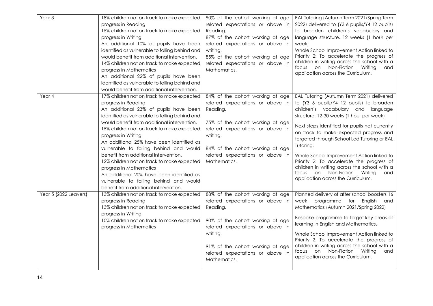| Year <sub>3</sub>     | 18% children not on track to make expected<br>progress in Reading<br>15% children not on track to make expected<br>progress in Writing<br>An additional 10% of pupils have been<br>identified as vulnerable to falling behind and<br>would benefit from additional intervention.<br>14% children not on track to make expected<br>progress in Mathematics<br>An additional 22% of pupils have been<br>identified as vulnerable to falling behind and<br>would benefit from additional intervention.                                                                                                                       | 90% of the cohort working at age<br>related expectations or above in<br>Reading.<br>87% of the cohort working at age<br>related expectations or above in<br>writing.<br>85% of the cohort working at age<br>related expectations or above in<br>Mathematics. | EAL Tutoring (Autumn Term 2021/Spring Term<br>2022) delivered to (Y3 6 pupils/Y4 12 pupils)<br>to broaden children's vocabulary and<br>language structure. 12 weeks (1 hour per<br>week)<br>Whole School Improvement Action linked to<br>Priority 2: To accelerate the progress of<br>children in writing across the school with a<br>focus on Non-Fiction Writing<br>and<br>application across the Curriculum.                                                                                                                                        |
|-----------------------|---------------------------------------------------------------------------------------------------------------------------------------------------------------------------------------------------------------------------------------------------------------------------------------------------------------------------------------------------------------------------------------------------------------------------------------------------------------------------------------------------------------------------------------------------------------------------------------------------------------------------|--------------------------------------------------------------------------------------------------------------------------------------------------------------------------------------------------------------------------------------------------------------|--------------------------------------------------------------------------------------------------------------------------------------------------------------------------------------------------------------------------------------------------------------------------------------------------------------------------------------------------------------------------------------------------------------------------------------------------------------------------------------------------------------------------------------------------------|
| Year 4                | 17% children not on track to make expected<br>progress in Reading<br>An additional 23% of pupils have been<br>identified as vulnerable to falling behind and<br>would benefit from additional intervention.<br>15% children not on track to make expected<br>progress in Writing<br>An additional 25% have been identified as<br>vulnerable to falling behind and would<br>benefit from additional intervention.<br>12% children not on track to make expected<br>progress in Mathematics<br>An additional 20% have been identified as<br>vulnerable to falling behind and would<br>benefit from additional intervention. | 84% of the cohort working at age<br>related expectations or above in<br>Reading.<br>75% of the cohort working at age<br>related expectations or above in<br>writing.<br>84% of the cohort working at age<br>related expectations or above in<br>Mathematics. | EAL Tutoring (Autumn Term 2021) delivered<br>to (Y3 6 pupils/Y4 12 pupils) to broaden<br>children's vocabulary and language<br>structure. 12-30 weeks (1 hour per week)<br>Next steps identified for pupils not currently<br>on track to make expected progress and<br>targeted through School Led Tutoring or EAL<br>Tutoring.<br>Whole School Improvement Action linked to<br>Priority 2: To accelerate the progress of<br>children in writing across the school with a<br>focus on Non-Fiction Writing<br>and<br>application across the Curriculum. |
| Year 5 (2022 Leavers) | 13% children not on track to make expected<br>progress in Reading<br>13% children not on track to make expected<br>progress in Writing<br>10% children not on track to make expected<br>progress in Mathematics                                                                                                                                                                                                                                                                                                                                                                                                           | 88% of the cohort working at age<br>related expectations or above in<br>Reading.<br>90% of the cohort working at age<br>related expectations or above in<br>writing.<br>91% of the cohort working at age<br>related expectations or above in<br>Mathematics. | Planned delivery of after school boosters 16<br>week programme for English<br>and<br>Mathematics (Autumn 2021/Spring 2022)<br>Bespoke programme to target key areas of<br>learning in English and Mathematics.<br>Whole School Improvement Action linked to<br>Priority 2: To accelerate the progress of<br>children in writing across the school with a<br>focus on Non-Fiction<br>Writing<br>and<br>application across the Curriculum.                                                                                                               |